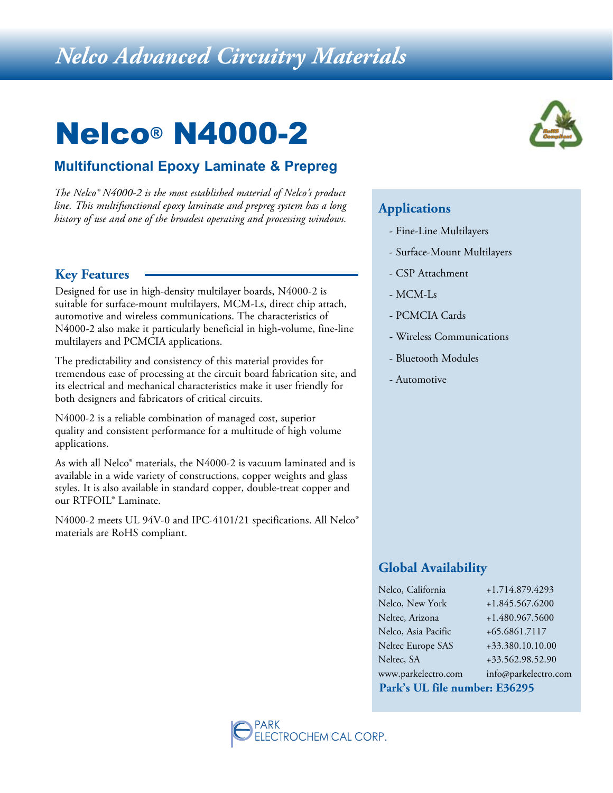## *Nelco Advanced Circuitry Materials*

# Nelco® N4000-2

### **Multifunctional Epoxy Laminate & Prepreg**

*The Nelco® N4000-2 is the most established material of Nelco's product line. This multifunctional epoxy laminate and prepreg system has a long history of use and one of the broadest operating and processing windows.* **Applications**

### **Key Features**

Designed for use in high-density multilayer boards, N4000-2 is suitable for surface-mount multilayers, MCM-Ls, direct chip attach, automotive and wireless communications. The characteristics of N4000-2 also make it particularly beneficial in high-volume, fine-line multilayers and PCMCIA applications.

The predictability and consistency of this material provides for tremendous ease of processing at the circuit board fabrication site, and its electrical and mechanical characteristics make it user friendly for both designers and fabricators of critical circuits.

N4000-2 is a reliable combination of managed cost, superior quality and consistent performance for a multitude of high volume applications.

As with all Nelco® materials, the N4000-2 is vacuum laminated and is available in a wide variety of constructions, copper weights and glass styles. It is also available in standard copper, double-treat copper and our RTFOIL® Laminate.

N4000-2 meets UL 94V-0 and IPC-4101/21 specifications. All Nelco® materials are RoHS compliant.



- Fine-Line Multilayers
- Surface-Mount Multilayers
- CSP Attachment
- MCM-Ls
- PCMCIA Cards
- Wireless Communications
- Bluetooth Modules
- Automotive

### **Global Availability**

| Park's UL file number: E36295 |                      |  |  |  |  |
|-------------------------------|----------------------|--|--|--|--|
| www.parkelectro.com           | info@parkelectro.com |  |  |  |  |
| Neltec, SA                    | +33.562.98.52.90     |  |  |  |  |
| Neltec Europe SAS             | +33.380.10.10.00     |  |  |  |  |
| Nelco, Asia Pacific           | +65.6861.7117        |  |  |  |  |
| Neltec, Arizona               | +1.480.967.5600      |  |  |  |  |
| Nelco, New York               | +1.845.567.6200      |  |  |  |  |
| Nelco, California             | +1.714.879.4293      |  |  |  |  |